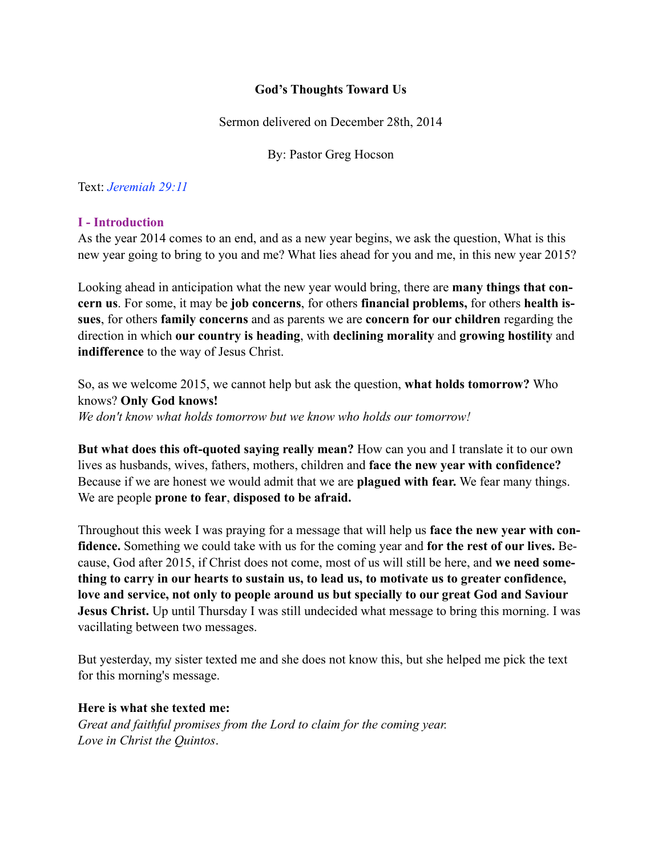# **God's Thoughts Toward Us**

Sermon delivered on December 28th, 2014

By: Pastor Greg Hocson

Text: *Jeremiah 29:11*

#### **I - Introduction**

As the year 2014 comes to an end, and as a new year begins, we ask the question, What is this new year going to bring to you and me? What lies ahead for you and me, in this new year 2015?

Looking ahead in anticipation what the new year would bring, there are **many things that concern us**. For some, it may be **job concerns**, for others **financial problems,** for others **health issues**, for others **family concerns** and as parents we are **concern for our children** regarding the direction in which **our country is heading**, with **declining morality** and **growing hostility** and **indifference** to the way of Jesus Christ.

So, as we welcome 2015, we cannot help but ask the question, **what holds tomorrow?** Who knows? **Only God knows!**  *We don't know what holds tomorrow but we know who holds our tomorrow!* 

**But what does this oft-quoted saying really mean?** How can you and I translate it to our own lives as husbands, wives, fathers, mothers, children and **face the new year with confidence?**  Because if we are honest we would admit that we are **plagued with fear.** We fear many things. We are people **prone to fear**, **disposed to be afraid.**

Throughout this week I was praying for a message that will help us **face the new year with confidence.** Something we could take with us for the coming year and **for the rest of our lives.** Because, God after 2015, if Christ does not come, most of us will still be here, and **we need something to carry in our hearts to sustain us, to lead us, to motivate us to greater confidence, love and service, not only to people around us but specially to our great God and Saviour Jesus Christ.** Up until Thursday I was still undecided what message to bring this morning. I was vacillating between two messages.

But yesterday, my sister texted me and she does not know this, but she helped me pick the text for this morning's message.

# **Here is what she texted me:**

*Great and faithful promises from the Lord to claim for the coming year. Love in Christ the Quintos*.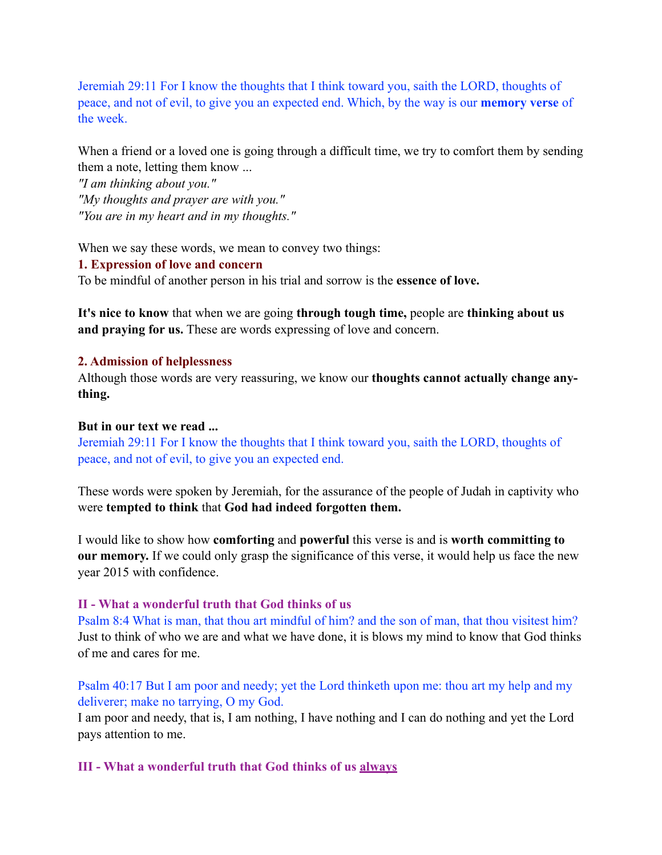Jeremiah 29:11 For I know the thoughts that I think toward you, saith the LORD, thoughts of peace, and not of evil, to give you an expected end. Which, by the way is our **memory verse** of the week.

When a friend or a loved one is going through a difficult time, we try to comfort them by sending them a note, letting them know ...

*"I am thinking about you." "My thoughts and prayer are with you." "You are in my heart and in my thoughts."* 

When we say these words, we mean to convey two things:

**1. Expression of love and concern** 

To be mindful of another person in his trial and sorrow is the **essence of love.**

**It's nice to know** that when we are going **through tough time,** people are **thinking about us and praying for us.** These are words expressing of love and concern.

#### **2. Admission of helplessness**

Although those words are very reassuring, we know our **thoughts cannot actually change anything.** 

#### **But in our text we read ...**

Jeremiah 29:11 For I know the thoughts that I think toward you, saith the LORD, thoughts of peace, and not of evil, to give you an expected end.

These words were spoken by Jeremiah, for the assurance of the people of Judah in captivity who were **tempted to think** that **God had indeed forgotten them.**

I would like to show how **comforting** and **powerful** this verse is and is **worth committing to our memory.** If we could only grasp the significance of this verse, it would help us face the new year 2015 with confidence.

#### **II - What a wonderful truth that God thinks of us**

Psalm 8:4 What is man, that thou art mindful of him? and the son of man, that thou visitest him? Just to think of who we are and what we have done, it is blows my mind to know that God thinks of me and cares for me.

Psalm 40:17 But I am poor and needy; yet the Lord thinketh upon me: thou art my help and my deliverer; make no tarrying, O my God.

I am poor and needy, that is, I am nothing, I have nothing and I can do nothing and yet the Lord pays attention to me.

**III - What a wonderful truth that God thinks of us always**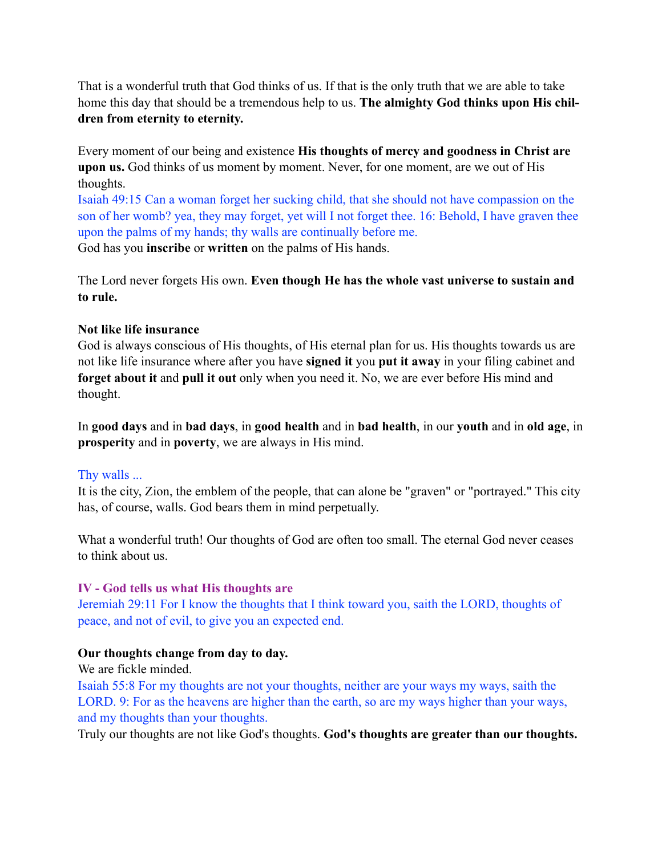That is a wonderful truth that God thinks of us. If that is the only truth that we are able to take home this day that should be a tremendous help to us. **The almighty God thinks upon His children from eternity to eternity.** 

Every moment of our being and existence **His thoughts of mercy and goodness in Christ are upon us.** God thinks of us moment by moment. Never, for one moment, are we out of His thoughts.

Isaiah 49:15 Can a woman forget her sucking child, that she should not have compassion on the son of her womb? yea, they may forget, yet will I not forget thee. 16: Behold, I have graven thee upon the palms of my hands; thy walls are continually before me. God has you **inscribe** or **written** on the palms of His hands.

The Lord never forgets His own. **Even though He has the whole vast universe to sustain and to rule.**

# **Not like life insurance**

God is always conscious of His thoughts, of His eternal plan for us. His thoughts towards us are not like life insurance where after you have **signed it** you **put it away** in your filing cabinet and **forget about it** and **pull it out** only when you need it. No, we are ever before His mind and thought.

In **good days** and in **bad days**, in **good health** and in **bad health**, in our **youth** and in **old age**, in **prosperity** and in **poverty**, we are always in His mind.

# Thy walls ...

It is the city, Zion, the emblem of the people, that can alone be "graven" or "portrayed." This city has, of course, walls. God bears them in mind perpetually.

What a wonderful truth! Our thoughts of God are often too small. The eternal God never ceases to think about us.

# **IV - God tells us what His thoughts are**

Jeremiah 29:11 For I know the thoughts that I think toward you, saith the LORD, thoughts of peace, and not of evil, to give you an expected end.

# **Our thoughts change from day to day.**

# We are fickle minded.

Isaiah 55:8 For my thoughts are not your thoughts, neither are your ways my ways, saith the LORD. 9: For as the heavens are higher than the earth, so are my ways higher than your ways, and my thoughts than your thoughts.

Truly our thoughts are not like God's thoughts. **God's thoughts are greater than our thoughts.**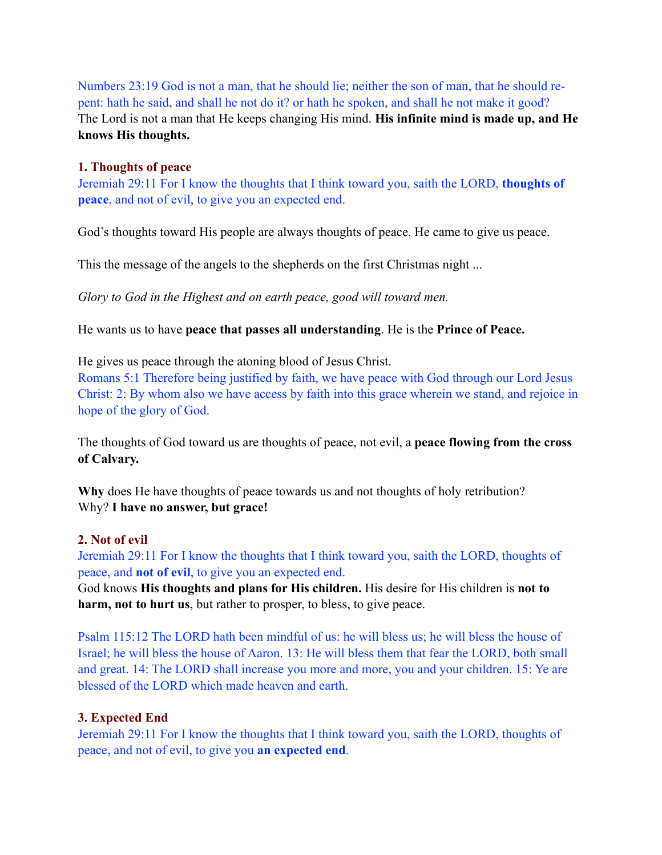Numbers 23:19 God is not a man, that he should lie; neither the son of man, that he should repent: hath he said, and shall he not do it? or hath he spoken, and shall he not make it good? The Lord is not a man that He keeps changing His mind. **His infinite mind is made up, and He knows His thoughts.**

#### **1. Thoughts of peace**

Jeremiah 29:11 For I know the thoughts that I think toward you, saith the LORD, **thoughts of peace**, and not of evil, to give you an expected end.

God's thoughts toward His people are always thoughts of peace. He came to give us peace.

This the message of the angels to the shepherds on the first Christmas night ...

*Glory to God in the Highest and on earth peace, good will toward men.* 

He wants us to have **peace that passes all understanding**. He is the **Prince of Peace.**

He gives us peace through the atoning blood of Jesus Christ.

Romans 5:1 Therefore being justified by faith, we have peace with God through our Lord Jesus Christ: 2: By whom also we have access by faith into this grace wherein we stand, and rejoice in hope of the glory of God.

The thoughts of God toward us are thoughts of peace, not evil, a **peace flowing from the cross of Calvary.**

**Why** does He have thoughts of peace towards us and not thoughts of holy retribution? Why? **I have no answer, but grace!**

# **2. Not of evil**

Jeremiah 29:11 For I know the thoughts that I think toward you, saith the LORD, thoughts of peace, and **not of evil**, to give you an expected end.

God knows **His thoughts and plans for His children.** His desire for His children is **not to harm, not to hurt us**, but rather to prosper, to bless, to give peace.

Psalm 115:12 The LORD hath been mindful of us: he will bless us; he will bless the house of Israel; he will bless the house of Aaron. 13: He will bless them that fear the LORD, both small and great. 14: The LORD shall increase you more and more, you and your children. 15: Ye are blessed of the LORD which made heaven and earth.

# **3. Expected End**

Jeremiah 29:11 For I know the thoughts that I think toward you, saith the LORD, thoughts of peace, and not of evil, to give you **an expected end**.